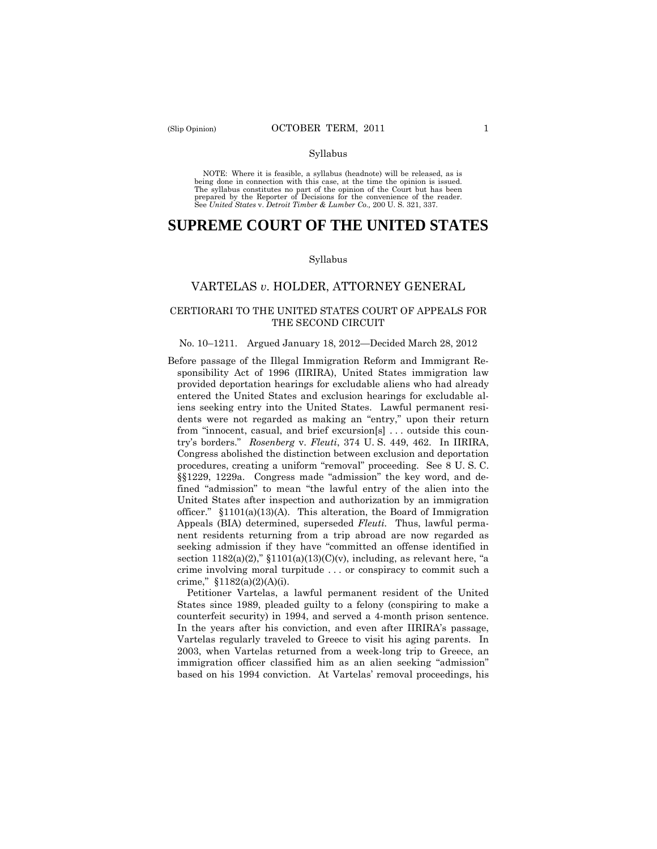NOTE: Where it is feasible, a syllabus (headnote) will be released, as is being done in connection with this case, at the time the opinion is issued. The syllabus constitutes no part of the opinion of the Court but has been<br>prepared by the Reporter of Decisions for the convenience of the reader.<br>See United States v. Detroit Timber & Lumber Co., 200 U.S. 321, 337.

# **SUPREME COURT OF THE UNITED STATES**

#### Syllabus

# VARTELAS *v*. HOLDER, ATTORNEY GENERAL

### CERTIORARI TO THE UNITED STATES COURT OF APPEALS FOR THE SECOND CIRCUIT

#### No. 10–1211. Argued January 18, 2012—Decided March 28, 2012

 try's borders." *Rosenberg* v. *Fleuti*, 374 U. S. 449, 462. In IIRIRA, United States after inspection and authorization by an immigration Before passage of the Illegal Immigration Reform and Immigrant Responsibility Act of 1996 (IIRIRA), United States immigration law provided deportation hearings for excludable aliens who had already entered the United States and exclusion hearings for excludable aliens seeking entry into the United States. Lawful permanent residents were not regarded as making an "entry," upon their return from "innocent, casual, and brief excursion[s] . . . outside this coun-Congress abolished the distinction between exclusion and deportation procedures, creating a uniform "removal" proceeding. See 8 U. S. C. §§1229, 1229a. Congress made "admission" the key word, and defined "admission" to mean "the lawful entry of the alien into the officer."  $$1101(a)(13)(A)$ . This alteration, the Board of Immigration Appeals (BIA) determined, superseded *Fleuti.* Thus, lawful permanent residents returning from a trip abroad are now regarded as seeking admission if they have "committed an offense identified in section 1182(a)(2)," §1101(a)(13)(C)(v), including, as relevant here, "a crime involving moral turpitude . . . or conspiracy to commit such a crime," §1182(a)(2)(A)(i).

 Petitioner Vartelas, a lawful permanent resident of the United States since 1989, pleaded guilty to a felony (conspiring to make a counterfeit security) in 1994, and served a 4-month prison sentence. In the years after his conviction, and even after IIRIRA's passage, Vartelas regularly traveled to Greece to visit his aging parents. In 2003, when Vartelas returned from a week-long trip to Greece, an immigration officer classified him as an alien seeking "admission" based on his 1994 conviction. At Vartelas' removal proceedings, his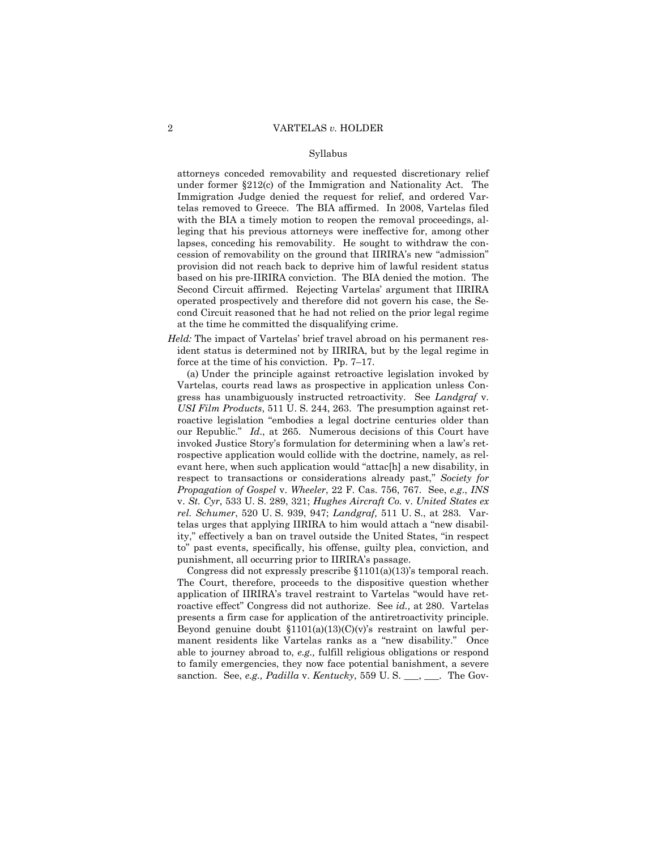attorneys conceded removability and requested discretionary relief under former §212(c) of the Immigration and Nationality Act. The Immigration Judge denied the request for relief, and ordered Vartelas removed to Greece. The BIA affirmed. In 2008, Vartelas filed with the BIA a timely motion to reopen the removal proceedings, alleging that his previous attorneys were ineffective for, among other lapses, conceding his removability. He sought to withdraw the concession of removability on the ground that IIRIRA's new "admission" provision did not reach back to deprive him of lawful resident status based on his pre-IIRIRA conviction. The BIA denied the motion. The Second Circuit affirmed. Rejecting Vartelas' argument that IIRIRA operated prospectively and therefore did not govern his case, the Second Circuit reasoned that he had not relied on the prior legal regime at the time he committed the disqualifying crime.

*Held:* The impact of Vartelas' brief travel abroad on his permanent resident status is determined not by IIRIRA, but by the legal regime in force at the time of his conviction. Pp. 7–17.

 Vartelas, courts read laws as prospective in application unless Con-(a) Under the principle against retroactive legislation invoked by gress has unambiguously instructed retroactivity. See *Landgraf* v. *USI Film Products*, 511 U. S. 244, 263. The presumption against retroactive legislation "embodies a legal doctrine centuries older than our Republic." *Id*., at 265. Numerous decisions of this Court have invoked Justice Story's formulation for determining when a law's retrospective application would collide with the doctrine, namely, as relevant here, when such application would "attac[h] a new disability, in respect to transactions or considerations already past," *Society for Propagation of Gospel* v. *Wheeler*, 22 F. Cas. 756, 767. See, *e.g*., *INS*  v. *St. Cyr*, 533 U. S. 289, 321; *Hughes Aircraft Co.* v. *United States ex rel. Schumer*, 520 U. S. 939, 947; *Landgraf,* 511 U. S., at 283. Vartelas urges that applying IIRIRA to him would attach a "new disability," effectively a ban on travel outside the United States, "in respect to" past events, specifically, his offense, guilty plea, conviction, and punishment, all occurring prior to IIRIRA's passage.

Congress did not expressly prescribe §1101(a)(13)'s temporal reach. The Court, therefore, proceeds to the dispositive question whether application of IIRIRA's travel restraint to Vartelas "would have retroactive effect" Congress did not authorize. See *id.,* at 280. Vartelas presents a firm case for application of the antiretroactivity principle. Beyond genuine doubt  $$1101(a)(13)(C)(v)$ 's restraint on lawful permanent residents like Vartelas ranks as a "new disability." Once able to journey abroad to, *e.g.,* fulfill religious obligations or respond to family emergencies, they now face potential banishment, a severe sanction. See, *e.g., Padilla* v. *Kentucky*, 559 U. S. \_\_\_, \_\_\_. The Gov-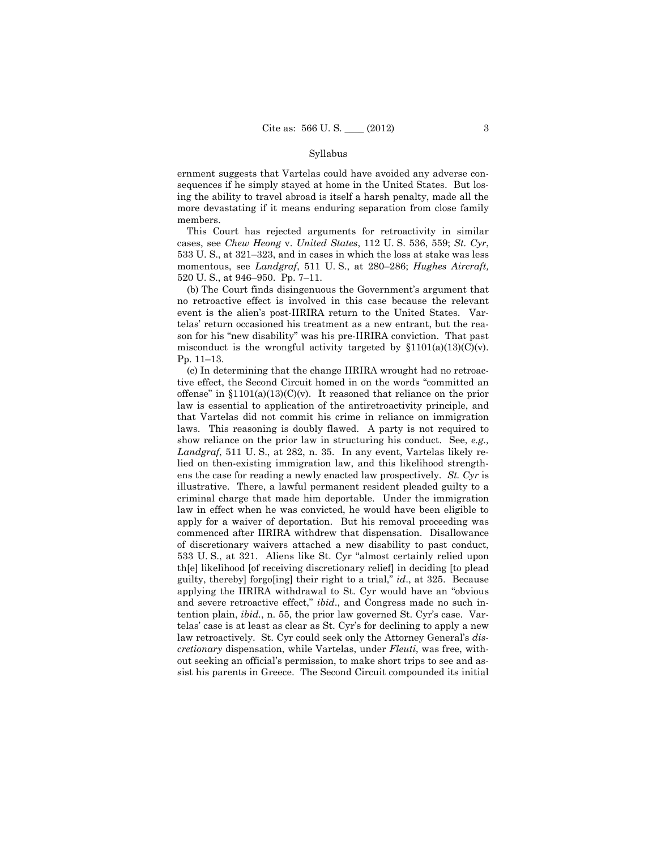ernment suggests that Vartelas could have avoided any adverse consequences if he simply stayed at home in the United States. But losing the ability to travel abroad is itself a harsh penalty, made all the more devastating if it means enduring separation from close family members.

This Court has rejected arguments for retroactivity in similar cases, see *Chew Heong* v. *United States*, 112 U. S. 536, 559; *St. Cyr*, 533 U. S., at 321–323, and in cases in which the loss at stake was less momentous, see *Landgraf*, 511 U. S., at 280–286; *Hughes Aircraft,*  520 U. S., at 946–950. Pp. 7–11.

(b) The Court finds disingenuous the Government's argument that no retroactive effect is involved in this case because the relevant event is the alien's post-IIRIRA return to the United States. Vartelas' return occasioned his treatment as a new entrant, but the reason for his "new disability" was his pre-IIRIRA conviction. That past misconduct is the wrongful activity targeted by  $$1101(a)(13)(C)(v)$ . Pp. 11–13.

 apply for a waiver of deportation. But his removal proceeding was (c) In determining that the change IIRIRA wrought had no retroactive effect, the Second Circuit homed in on the words "committed an offense" in  $$1101(a)(13)(C)(v)$ . It reasoned that reliance on the prior law is essential to application of the antiretroactivity principle, and that Vartelas did not commit his crime in reliance on immigration laws. This reasoning is doubly flawed. A party is not required to show reliance on the prior law in structuring his conduct. See, *e.g., Landgraf*, 511 U. S., at 282, n. 35. In any event, Vartelas likely relied on then-existing immigration law, and this likelihood strengthens the case for reading a newly enacted law prospectively. *St. Cyr* is illustrative. There, a lawful permanent resident pleaded guilty to a criminal charge that made him deportable. Under the immigration law in effect when he was convicted, he would have been eligible to commenced after IIRIRA withdrew that dispensation. Disallowance of discretionary waivers attached a new disability to past conduct, 533 U. S., at 321. Aliens like St. Cyr "almost certainly relied upon th[e] likelihood [of receiving discretionary relief] in deciding [to plead guilty, thereby] forgo[ing] their right to a trial," *id*., at 325. Because applying the IIRIRA withdrawal to St. Cyr would have an "obvious and severe retroactive effect," *ibid*., and Congress made no such intention plain, *ibid.*, n. 55, the prior law governed St. Cyr's case. Vartelas' case is at least as clear as St. Cyr's for declining to apply a new law retroactively. St. Cyr could seek only the Attorney General's *discretionary* dispensation, while Vartelas, under *Fleuti*, was free, without seeking an official's permission, to make short trips to see and assist his parents in Greece. The Second Circuit compounded its initial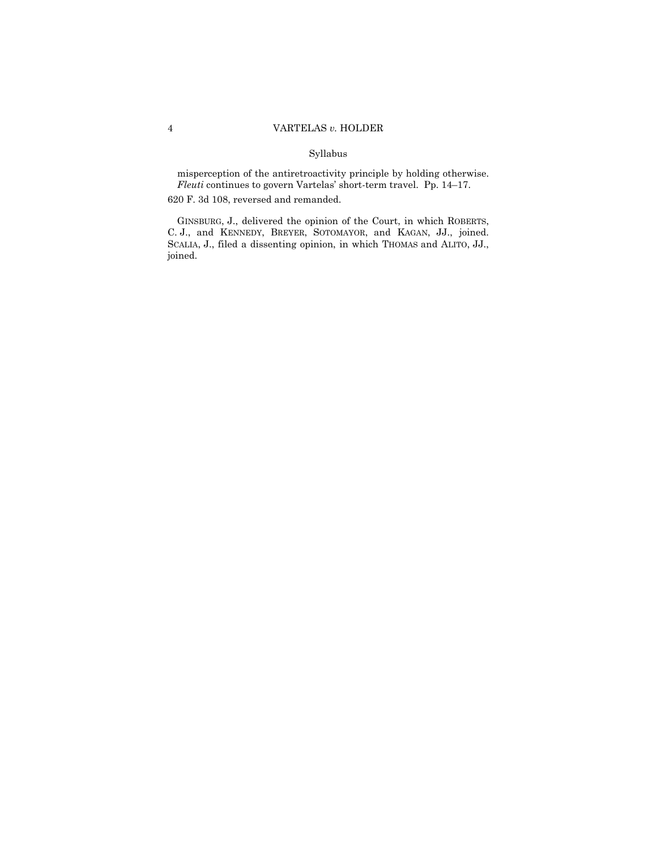misperception of the antiretroactivity principle by holding otherwise. *Fleuti* continues to govern Vartelas' short-term travel. Pp. 14–17.

620 F. 3d 108, reversed and remanded.

GINSBURG, J., delivered the opinion of the Court, in which ROBERTS, C. J., and KENNEDY, BREYER, SOTOMAYOR, and KAGAN, JJ., joined. SCALIA, J., filed a dissenting opinion, in which THOMAS and ALITO, JJ., joined.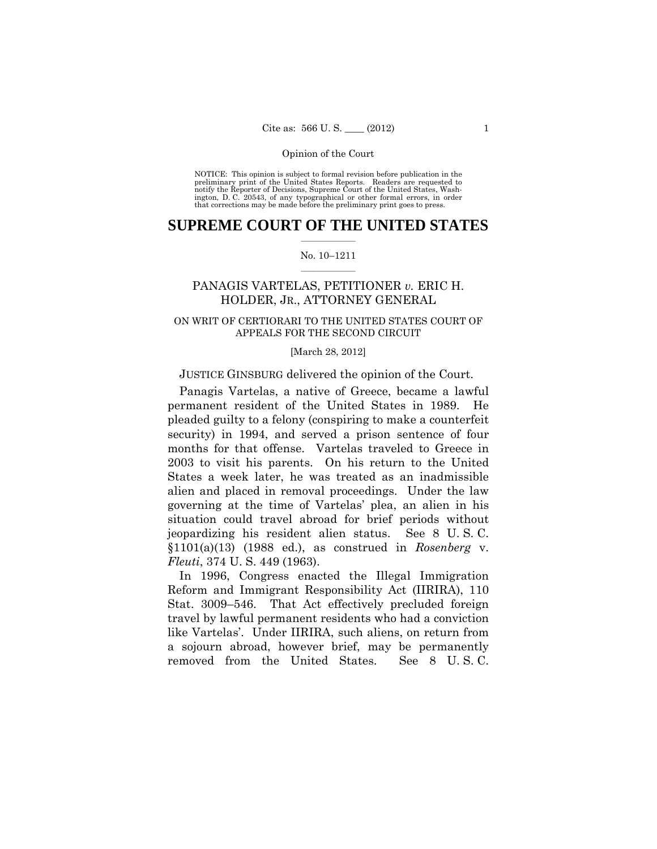preliminary print of the United States Reports. Readers are requested to notify the Reporter of Decisions, Supreme Court of the United States, Wash- ington, D. C. 20543, of any typographical or other formal errors, in order that corrections may be made before the preliminary print goes to press. NOTICE: This opinion is subject to formal revision before publication in the

# $\frac{1}{2}$  ,  $\frac{1}{2}$  ,  $\frac{1}{2}$  ,  $\frac{1}{2}$  ,  $\frac{1}{2}$  ,  $\frac{1}{2}$  ,  $\frac{1}{2}$ **SUPREME COURT OF THE UNITED STATES**

#### $\frac{1}{2}$  ,  $\frac{1}{2}$  ,  $\frac{1}{2}$  ,  $\frac{1}{2}$  ,  $\frac{1}{2}$  ,  $\frac{1}{2}$ No. 10–1211

# PANAGIS VARTELAS, PETITIONER *v.* ERIC H. HOLDER, JR., ATTORNEY GENERAL

# ON WRIT OF CERTIORARI TO THE UNITED STATES COURT OF APPEALS FOR THE SECOND CIRCUIT

#### [March 28, 2012]

### JUSTICE GINSBURG delivered the opinion of the Court.

 permanent resident of the United States in 1989. He Panagis Vartelas, a native of Greece, became a lawful pleaded guilty to a felony (conspiring to make a counterfeit security) in 1994, and served a prison sentence of four months for that offense. Vartelas traveled to Greece in 2003 to visit his parents. On his return to the United States a week later, he was treated as an inadmissible alien and placed in removal proceedings. Under the law governing at the time of Vartelas' plea, an alien in his situation could travel abroad for brief periods without jeopardizing his resident alien status. See 8 U. S. C. §1101(a)(13) (1988 ed.), as construed in *Rosenberg* v. *Fleuti*, 374 U. S. 449 (1963).

In 1996, Congress enacted the Illegal Immigration Reform and Immigrant Responsibility Act (IIRIRA), 110 Stat. 3009–546. That Act effectively precluded foreign travel by lawful permanent residents who had a conviction like Vartelas'. Under IIRIRA, such aliens, on return from a sojourn abroad, however brief, may be permanently removed from the United States. See 8 U. S. C.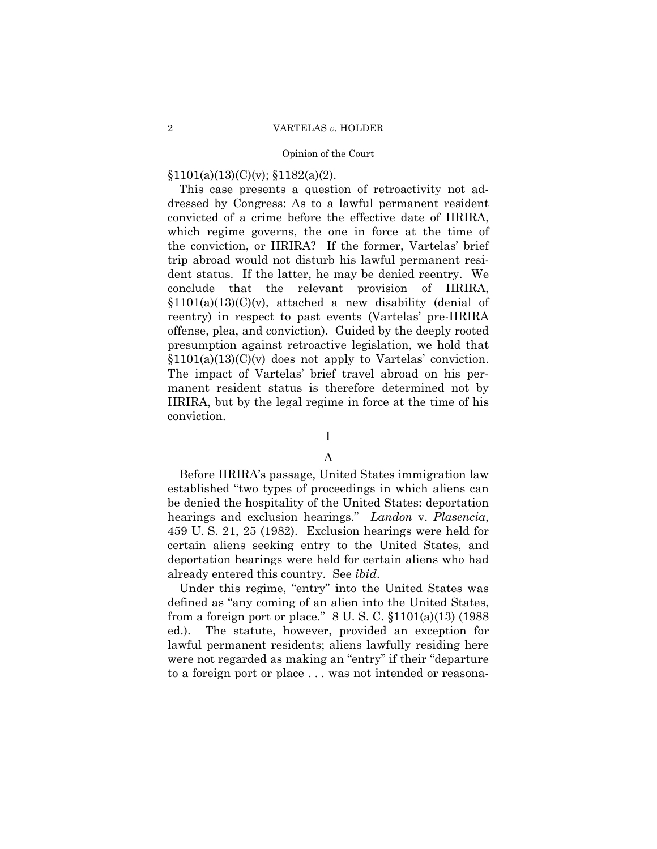# $§1101(a)(13)(C)(v);$   $§1182(a)(2)$ .

This case presents a question of retroactivity not addressed by Congress: As to a lawful permanent resident convicted of a crime before the effective date of IIRIRA, which regime governs, the one in force at the time of the conviction, or IIRIRA? If the former, Vartelas' brief trip abroad would not disturb his lawful permanent resident status. If the latter, he may be denied reentry. We conclude that the relevant provision of IIRIRA,  $$1101(a)(13)(C)(v)$ , attached a new disability (denial of reentry) in respect to past events (Vartelas' pre-IIRIRA offense, plea, and conviction). Guided by the deeply rooted presumption against retroactive legislation, we hold that  $$1101(a)(13)(C)(v)$  does not apply to Vartelas' conviction. The impact of Vartelas' brief travel abroad on his permanent resident status is therefore determined not by IIRIRA, but by the legal regime in force at the time of his conviction.

# I

# A

Before IIRIRA's passage, United States immigration law established "two types of proceedings in which aliens can be denied the hospitality of the United States: deportation hearings and exclusion hearings." *Landon* v. *Plasencia*, 459 U. S. 21, 25 (1982). Exclusion hearings were held for certain aliens seeking entry to the United States, and deportation hearings were held for certain aliens who had already entered this country. See *ibid*.

Under this regime, "entry" into the United States was defined as "any coming of an alien into the United States, from a foreign port or place." 8 U. S. C. §1101(a)(13) (1988 ed.). The statute, however, provided an exception for lawful permanent residents; aliens lawfully residing here were not regarded as making an "entry" if their "departure to a foreign port or place . . . was not intended or reasona-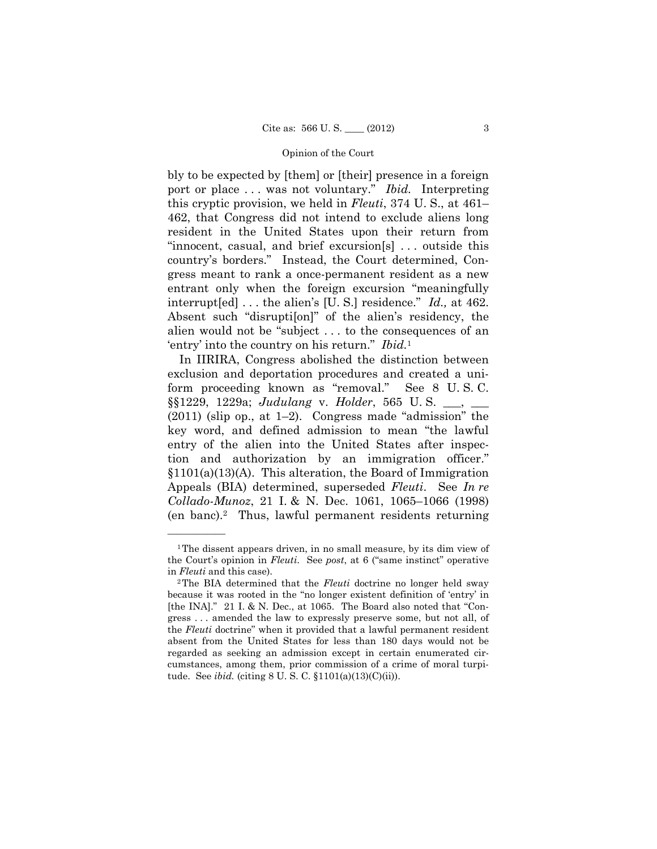port or place . . . was not voluntary." *Ibid.* Interpreting bly to be expected by [them] or [their] presence in a foreign this cryptic provision, we held in *Fleuti*, 374 U. S., at 461– 462, that Congress did not intend to exclude aliens long resident in the United States upon their return from "innocent, casual, and brief excursion[s] . . . outside this country's borders." Instead, the Court determined, Congress meant to rank a once-permanent resident as a new entrant only when the foreign excursion "meaningfully interrupt[ed] . . . the alien's [U. S.] residence." *Id.,* at 462. Absent such "disrupti[on]" of the alien's residency, the alien would not be "subject . . . to the consequences of an 'entry' into the country on his return." *Ibid.*<sup>1</sup>

In IIRIRA, Congress abolished the distinction between exclusion and deportation procedures and created a uniform proceeding known as "removal." See 8 U. S. C. §§1229, 1229a; *Judulang* v. *Holder*, 565 U. S. \_\_\_, \_\_\_ (2011) (slip op., at 1–2). Congress made "admission" the key word, and defined admission to mean "the lawful entry of the alien into the United States after inspection and authorization by an immigration officer." §1101(a)(13)(A). This alteration, the Board of Immigration Appeals (BIA) determined, superseded *Fleuti*. See *In re Collado-Munoz*, 21 I. & N. Dec. 1061, 1065–1066 (1998) (en banc).2 Thus, lawful permanent residents returning

<sup>&</sup>lt;sup>1</sup>The dissent appears driven, in no small measure, by its dim view of the Court's opinion in *Fleuti*. See *post*, at 6 ("same instinct" operative in *Fleuti* and this case). <sup>2</sup>The BIA determined that the *Fleuti* doctrine no longer held sway

because it was rooted in the "no longer existent definition of 'entry' in [the INA]." 21 I. & N. Dec., at 1065. The Board also noted that "Congress . . . amended the law to expressly preserve some, but not all, of the *Fleuti* doctrine" when it provided that a lawful permanent resident absent from the United States for less than 180 days would not be regarded as seeking an admission except in certain enumerated circumstances, among them, prior commission of a crime of moral turpitude. See *ibid.* (citing 8 U. S. C. §1101(a)(13)(C)(ii)).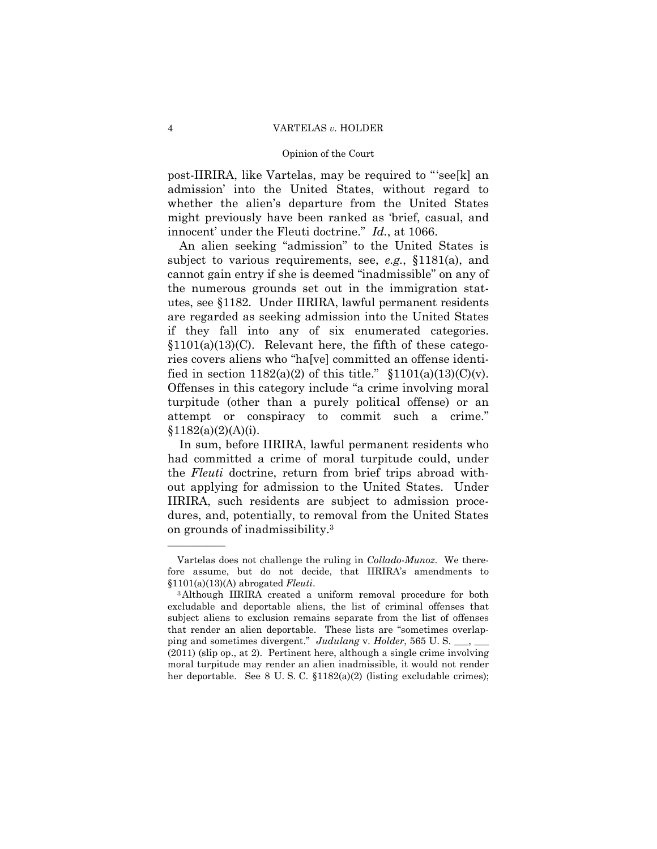post-IIRIRA, like Vartelas, may be required to "'see[k] an admission' into the United States, without regard to whether the alien's departure from the United States might previously have been ranked as 'brief, casual, and innocent' under the Fleuti doctrine." *Id.*, at 1066.

An alien seeking "admission" to the United States is subject to various requirements, see, *e.g.*, §1181(a), and cannot gain entry if she is deemed "inadmissible" on any of the numerous grounds set out in the immigration statutes, see §1182. Under IIRIRA, lawful permanent residents are regarded as seeking admission into the United States if they fall into any of six enumerated categories.  $$1101(a)(13)(C)$ . Relevant here, the fifth of these categories covers aliens who "ha[ve] committed an offense identified in section  $1182(a)(2)$  of this title."  $$1101(a)(13)(C)(v)$ . Offenses in this category include "a crime involving moral turpitude (other than a purely political offense) or an attempt or conspiracy to commit such a crime."  $§1182(a)(2)(A)(i).$ 

In sum, before IIRIRA, lawful permanent residents who had committed a crime of moral turpitude could, under the *Fleuti* doctrine, return from brief trips abroad without applying for admission to the United States. Under IIRIRA, such residents are subject to admission procedures, and, potentially, to removal from the United States on grounds of inadmissibility.3

Vartelas does not challenge the ruling in *Collado-Munoz*. We therefore assume, but do not decide, that IIRIRA's amendments to §1101(a)(13)(A) abrogated *Fleuti*. 3Although IIRIRA created a uniform removal procedure for both

excludable and deportable aliens, the list of criminal offenses that subject aliens to exclusion remains separate from the list of offenses that render an alien deportable. These lists are "sometimes overlapping and sometimes divergent." *Judulang v. Holder*, 565 U.S. (2011) (slip op., at 2). Pertinent here, although a single crime involving moral turpitude may render an alien inadmissible, it would not render her deportable. See 8 U.S.C.  $\{1182(a)(2)$  (listing excludable crimes);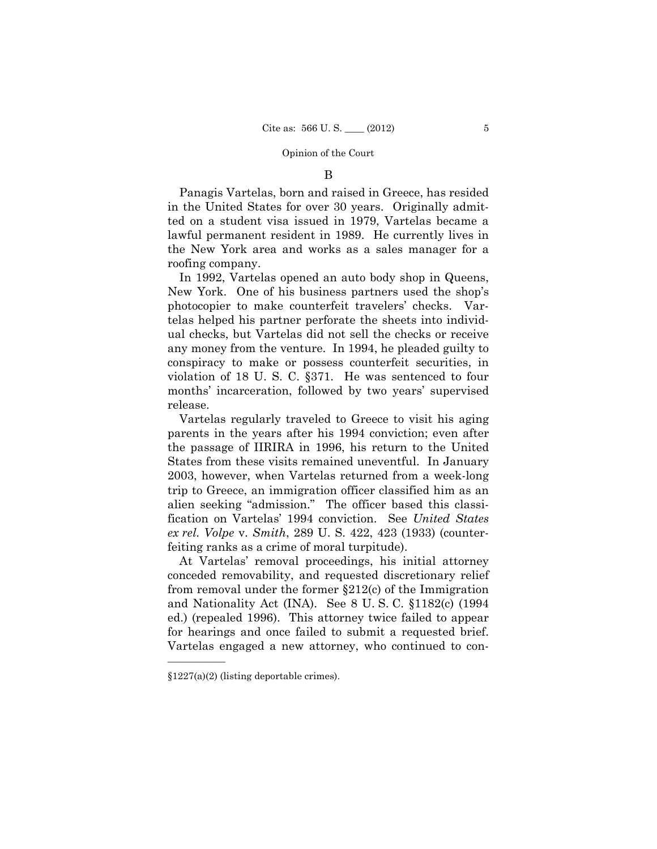### B

Panagis Vartelas, born and raised in Greece, has resided in the United States for over 30 years. Originally admitted on a student visa issued in 1979, Vartelas became a lawful permanent resident in 1989. He currently lives in the New York area and works as a sales manager for a roofing company.

In 1992, Vartelas opened an auto body shop in Queens, New York. One of his business partners used the shop's photocopier to make counterfeit travelers' checks. Vartelas helped his partner perforate the sheets into individual checks, but Vartelas did not sell the checks or receive any money from the venture. In 1994, he pleaded guilty to conspiracy to make or possess counterfeit securities, in violation of 18 U. S. C. §371. He was sentenced to four months' incarceration, followed by two years' supervised release.

Vartelas regularly traveled to Greece to visit his aging parents in the years after his 1994 conviction; even after the passage of IIRIRA in 1996, his return to the United States from these visits remained uneventful. In January 2003, however, when Vartelas returned from a week-long trip to Greece, an immigration officer classified him as an alien seeking "admission." The officer based this classification on Vartelas' 1994 conviction. See *United States ex rel. Volpe* v. *Smith*, 289 U. S. 422, 423 (1933) (counterfeiting ranks as a crime of moral turpitude).

At Vartelas' removal proceedings, his initial attorney conceded removability, and requested discretionary relief from removal under the former §212(c) of the Immigration and Nationality Act (INA). See 8 U. S. C. §1182(c) (1994 ed.) (repealed 1996). This attorney twice failed to appear for hearings and once failed to submit a requested brief. Vartelas engaged a new attorney, who continued to con-

<sup>§1227(</sup>a)(2) (listing deportable crimes).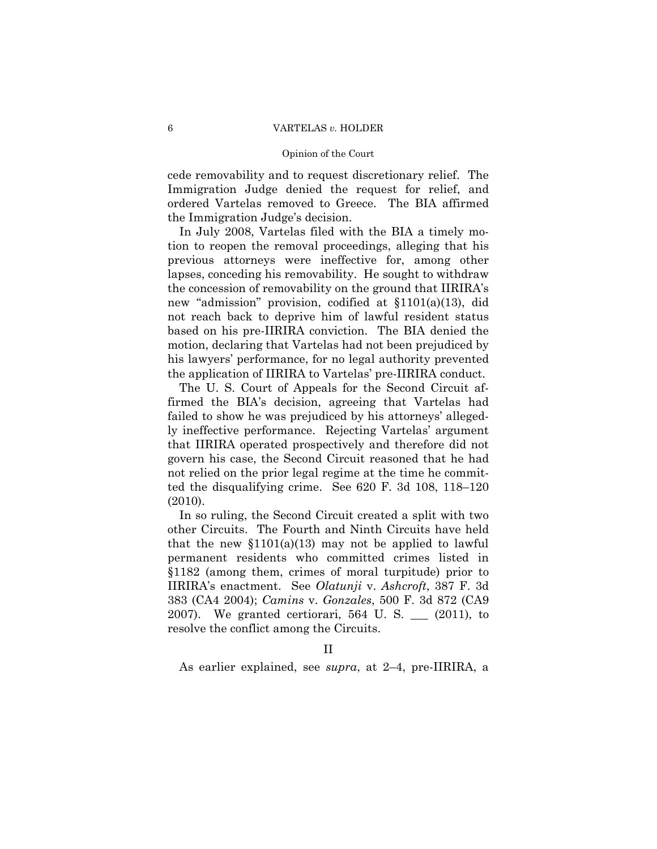#### 6 VARTELAS *v.* HOLDER

#### Opinion of the Court

cede removability and to request discretionary relief. The Immigration Judge denied the request for relief, and ordered Vartelas removed to Greece. The BIA affirmed the Immigration Judge's decision.

In July 2008, Vartelas filed with the BIA a timely motion to reopen the removal proceedings, alleging that his previous attorneys were ineffective for, among other lapses, conceding his removability. He sought to withdraw the concession of removability on the ground that IIRIRA's new "admission" provision, codified at §1101(a)(13), did not reach back to deprive him of lawful resident status based on his pre-IIRIRA conviction. The BIA denied the motion, declaring that Vartelas had not been prejudiced by his lawyers' performance, for no legal authority prevented the application of IIRIRA to Vartelas' pre-IIRIRA conduct.

The U. S. Court of Appeals for the Second Circuit affirmed the BIA's decision, agreeing that Vartelas had failed to show he was prejudiced by his attorneys' allegedly ineffective performance. Rejecting Vartelas' argument that IIRIRA operated prospectively and therefore did not govern his case, the Second Circuit reasoned that he had not relied on the prior legal regime at the time he committed the disqualifying crime. See 620 F. 3d 108, 118–120 (2010).

In so ruling, the Second Circuit created a split with two other Circuits. The Fourth and Ninth Circuits have held that the new  $$1101(a)(13)$  may not be applied to lawful permanent residents who committed crimes listed in §1182 (among them, crimes of moral turpitude) prior to IIRIRA's enactment. See *Olatunji* v. *Ashcroft*, 387 F. 3d 383 (CA4 2004); *Camins* v. *Gonzales*, 500 F. 3d 872 (CA9 2007). We granted certiorari, 564 U. S. \_\_\_ (2011), to resolve the conflict among the Circuits.

As earlier explained, see *supra*, at 2–4, pre-IIRIRA, a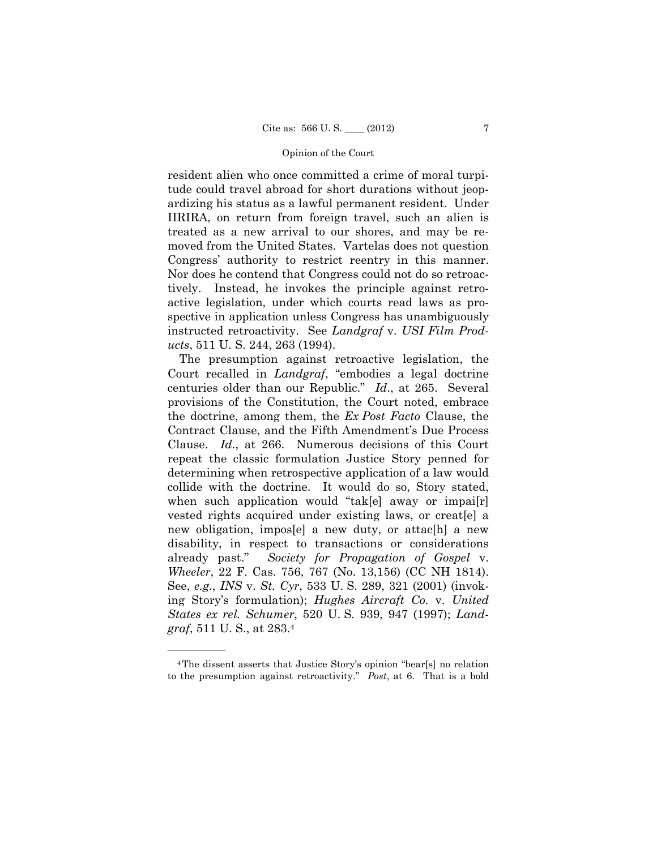resident alien who once committed a crime of moral turpitude could travel abroad for short durations without jeopardizing his status as a lawful permanent resident. Under IIRIRA, on return from foreign travel, such an alien is treated as a new arrival to our shores, and may be removed from the United States. Vartelas does not question Congress' authority to restrict reentry in this manner. Nor does he contend that Congress could not do so retroactively. Instead, he invokes the principle against retroactive legislation, under which courts read laws as prospective in application unless Congress has unambiguously instructed retroactivity. See *Landgraf* v. *USI Film Products*, 511 U. S. 244, 263 (1994).

The presumption against retroactive legislation, the Court recalled in *Landgraf*, "embodies a legal doctrine centuries older than our Republic." *Id*., at 265. Several provisions of the Constitution, the Court noted, embrace the doctrine, among them, the *Ex Post Facto* Clause, the Contract Clause, and the Fifth Amendment's Due Process Clause. *Id*., at 266. Numerous decisions of this Court repeat the classic formulation Justice Story penned for determining when retrospective application of a law would collide with the doctrine. It would do so, Story stated, when such application would "tak[e] away or impai[r] vested rights acquired under existing laws, or creat[e] a new obligation, impos[e] a new duty, or attac[h] a new disability, in respect to transactions or considerations already past." *Society for Propagation of Gospel* v. *Wheeler*, 22 F. Cas. 756, 767 (No. 13,156) (CC NH 1814). See, *e.g*., *INS* v. *St. Cyr*, 533 U. S. 289, 321 (2001) (invoking Story's formulation); *Hughes Aircraft Co.* v. *United States ex rel. Schumer*, 520 U. S. 939, 947 (1997); *Landgraf*, 511 U. S., at 283.4

<sup>4</sup>The dissent asserts that Justice Story's opinion "bear[s] no relation to the presumption against retroactivity." *Post*, at 6. That is a bold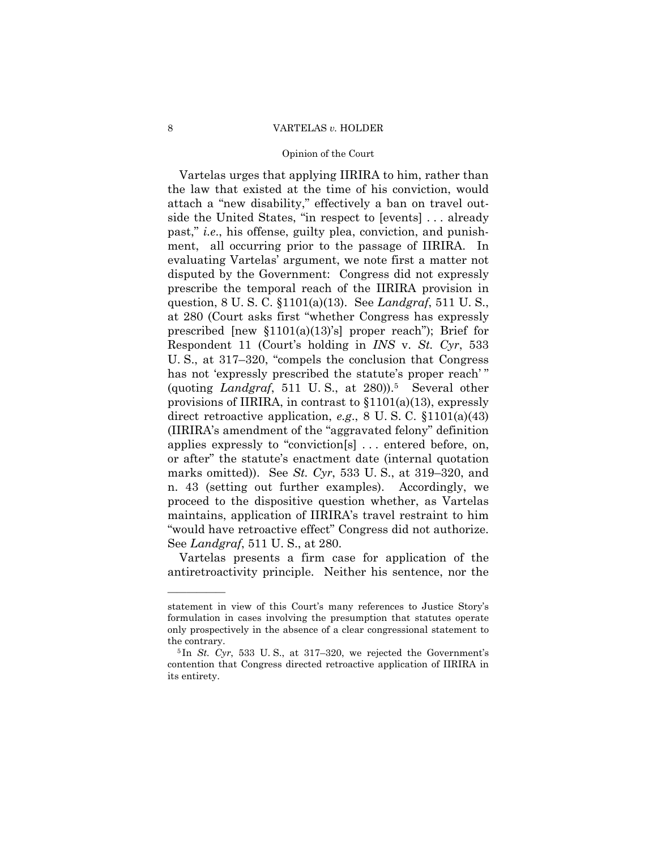### 8 VARTELAS *v.* HOLDER

#### Opinion of the Court

 "would have retroactive effect" Congress did not authorize. Vartelas urges that applying IIRIRA to him, rather than the law that existed at the time of his conviction, would attach a "new disability," effectively a ban on travel outside the United States, "in respect to [events] . . . already past," *i.e*., his offense, guilty plea, conviction, and punishment, all occurring prior to the passage of IIRIRA. In evaluating Vartelas' argument, we note first a matter not disputed by the Government: Congress did not expressly prescribe the temporal reach of the IIRIRA provision in question, 8 U. S. C. §1101(a)(13). See *Landgraf*, 511 U. S., at 280 (Court asks first "whether Congress has expressly prescribed  $[new \S1101(a)(13)\S]$  proper reach"); Brief for Respondent 11 (Court's holding in *INS* v. *St. Cyr*, 533 U. S., at 317–320, "compels the conclusion that Congress has not 'expressly prescribed the statute's proper reach'" (quoting *Landgraf*, 511 U. S., at 280)).5 Several other provisions of IIRIRA, in contrast to §1101(a)(13), expressly direct retroactive application, *e.g*., 8 U. S. C. §1101(a)(43) (IIRIRA's amendment of the "aggravated felony" definition applies expressly to "conviction[s] . . . entered before, on, or after" the statute's enactment date (internal quotation marks omitted)). See *St. Cyr*, 533 U. S., at 319–320, and n. 43 (setting out further examples). Accordingly, we proceed to the dispositive question whether, as Vartelas maintains, application of IIRIRA's travel restraint to him See *Landgraf*, 511 U. S., at 280.

Vartelas presents a firm case for application of the antiretroactivity principle. Neither his sentence, nor the

statement in view of this Court's many references to Justice Story's formulation in cases involving the presumption that statutes operate only prospectively in the absence of a clear congressional statement to the contrary.<br><sup>5</sup> In *St. Cyr*, 533 U.S., at 317–320, we rejected the Government's

contention that Congress directed retroactive application of IIRIRA in its entirety.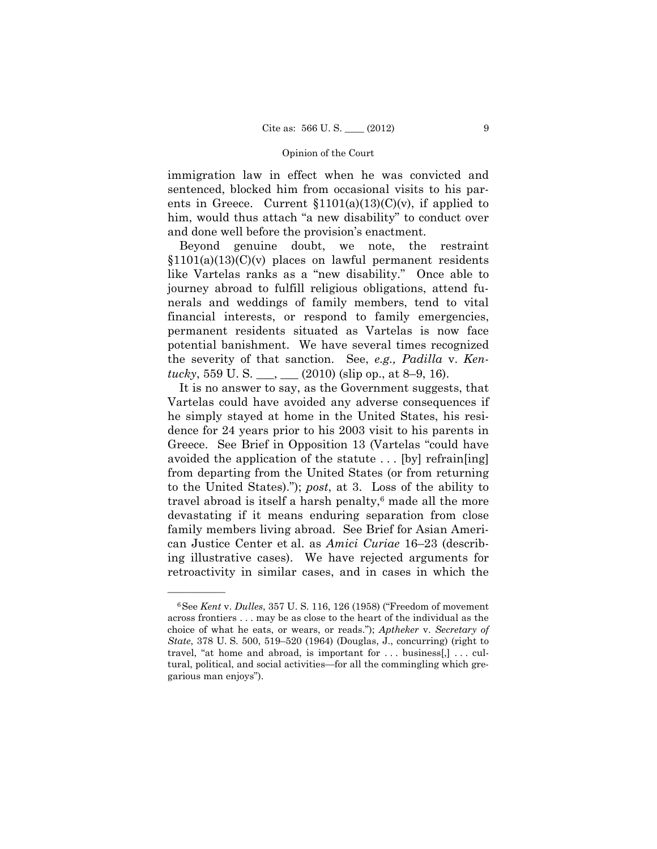immigration law in effect when he was convicted and sentenced, blocked him from occasional visits to his parents in Greece. Current  $$1101(a)(13)(C)(v)$ , if applied to him, would thus attach "a new disability" to conduct over and done well before the provision's enactment.

Beyond genuine doubt, we note, the restraint  $$1101(a)(13)(C)(v)$  places on lawful permanent residents like Vartelas ranks as a "new disability." Once able to journey abroad to fulfill religious obligations, attend funerals and weddings of family members, tend to vital financial interests, or respond to family emergencies, permanent residents situated as Vartelas is now face potential banishment. We have several times recognized the severity of that sanction. See, *e.g., Padilla* v. *Kentucky*, 559 U. S.  $\_\_\_\_\_\_\_\_\_\_$  (2010) (slip op., at 8–9, 16).

It is no answer to say, as the Government suggests, that Vartelas could have avoided any adverse consequences if he simply stayed at home in the United States, his residence for 24 years prior to his 2003 visit to his parents in Greece. See Brief in Opposition 13 (Vartelas "could have avoided the application of the statute . . . [by] refrain[ing] from departing from the United States (or from returning to the United States)."); *post*, at 3. Loss of the ability to travel abroad is itself a harsh penalty, $6$  made all the more devastating if it means enduring separation from close family members living abroad. See Brief for Asian American Justice Center et al. as *Amici Curiae* 16–23 (describing illustrative cases). We have rejected arguments for retroactivity in similar cases, and in cases in which the

 *State*, 378 U. S. 500, 519–520 (1964) (Douglas, J., concurring) (right to 6See *Kent* v. *Dulles*, 357 U. S. 116, 126 (1958) ("Freedom of movement across frontiers . . . may be as close to the heart of the individual as the choice of what he eats, or wears, or reads."); *Aptheker* v. *Secretary of*  travel, "at home and abroad, is important for . . . business[,] . . . cultural, political, and social activities—for all the commingling which gregarious man enjoys").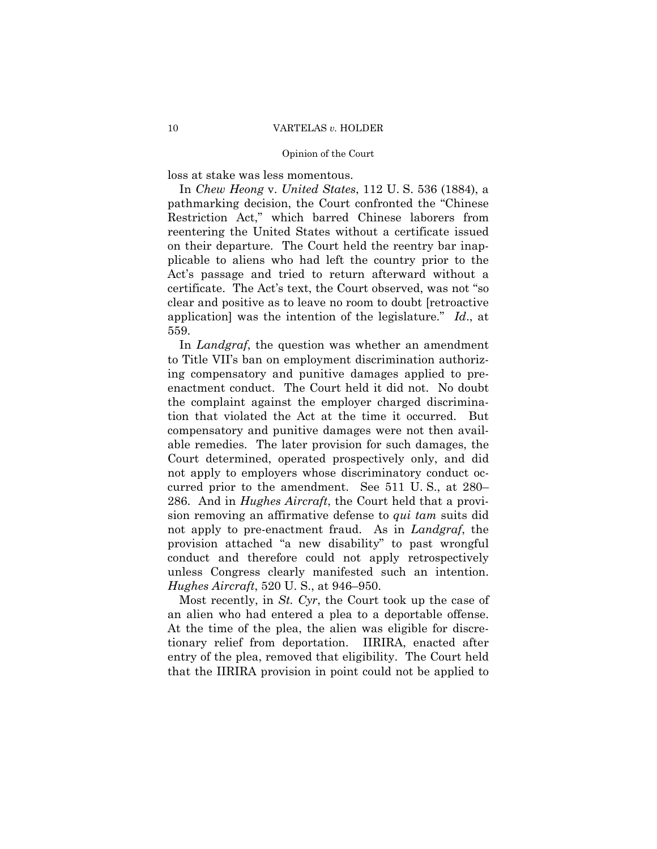loss at stake was less momentous.

 In *Chew Heong* v. *United States*, 112 U. S. 536 (1884), a pathmarking decision, the Court confronted the "Chinese Restriction Act," which barred Chinese laborers from reentering the United States without a certificate issued on their departure. The Court held the reentry bar inapplicable to aliens who had left the country prior to the Act's passage and tried to return afterward without a certificate. The Act's text, the Court observed, was not "so clear and positive as to leave no room to doubt [retroactive application] was the intention of the legislature." *Id*., at 559.

In *Landgraf*, the question was whether an amendment to Title VII's ban on employment discrimination authorizing compensatory and punitive damages applied to preenactment conduct. The Court held it did not. No doubt the complaint against the employer charged discrimination that violated the Act at the time it occurred. But compensatory and punitive damages were not then available remedies. The later provision for such damages, the Court determined, operated prospectively only, and did not apply to employers whose discriminatory conduct occurred prior to the amendment. See 511 U. S., at 280– 286. And in *Hughes Aircraft*, the Court held that a provision removing an affirmative defense to *qui tam* suits did not apply to pre-enactment fraud. As in *Landgraf*, the provision attached "a new disability" to past wrongful conduct and therefore could not apply retrospectively unless Congress clearly manifested such an intention. *Hughes Aircraft*, 520 U. S., at 946–950.

Most recently, in *St. Cyr*, the Court took up the case of an alien who had entered a plea to a deportable offense. At the time of the plea, the alien was eligible for discretionary relief from deportation. IIRIRA, enacted after entry of the plea, removed that eligibility. The Court held that the IIRIRA provision in point could not be applied to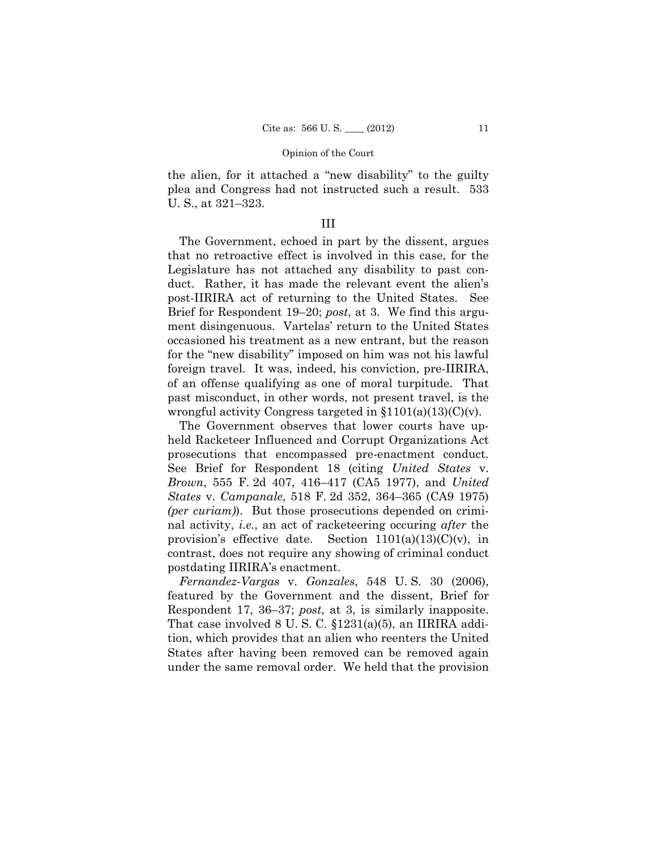the alien, for it attached a "new disability" to the guilty plea and Congress had not instructed such a result. 533 U. S., at 321–323.

# III

The Government, echoed in part by the dissent, argues that no retroactive effect is involved in this case, for the Legislature has not attached any disability to past conduct. Rather, it has made the relevant event the alien's post-IIRIRA act of returning to the United States. See Brief for Respondent 19–20; *post*, at 3. We find this argument disingenuous. Vartelas' return to the United States occasioned his treatment as a new entrant, but the reason for the "new disability" imposed on him was not his lawful foreign travel. It was, indeed, his conviction, pre-IIRIRA, of an offense qualifying as one of moral turpitude. That past misconduct, in other words, not present travel, is the wrongful activity Congress targeted in  $$1101(a)(13)(C)(v)$ .

The Government observes that lower courts have upheld Racketeer Influenced and Corrupt Organizations Act prosecutions that encompassed pre-enactment conduct. See Brief for Respondent 18 (citing *United States* v. *Brown*, 555 F. 2d 407, 416–417 (CA5 1977), and *United States* v. *Campanale*, 518 F. 2d 352, 364–365 (CA9 1975) *(per curiam)*). But those prosecutions depended on criminal activity, *i.e.*, an act of racketeering occuring *after* the provision's effective date. Section  $1101(a)(13)(C)(v)$ , in contrast, does not require any showing of criminal conduct postdating IIRIRA's enactment.

*Fernandez-Vargas* v. *Gonzales*, 548 U. S. 30 (2006), featured by the Government and the dissent, Brief for Respondent 17, 36–37; *post*, at 3, is similarly inapposite. That case involved 8 U. S. C. §1231(a)(5), an IIRIRA addition, which provides that an alien who reenters the United States after having been removed can be removed again under the same removal order. We held that the provision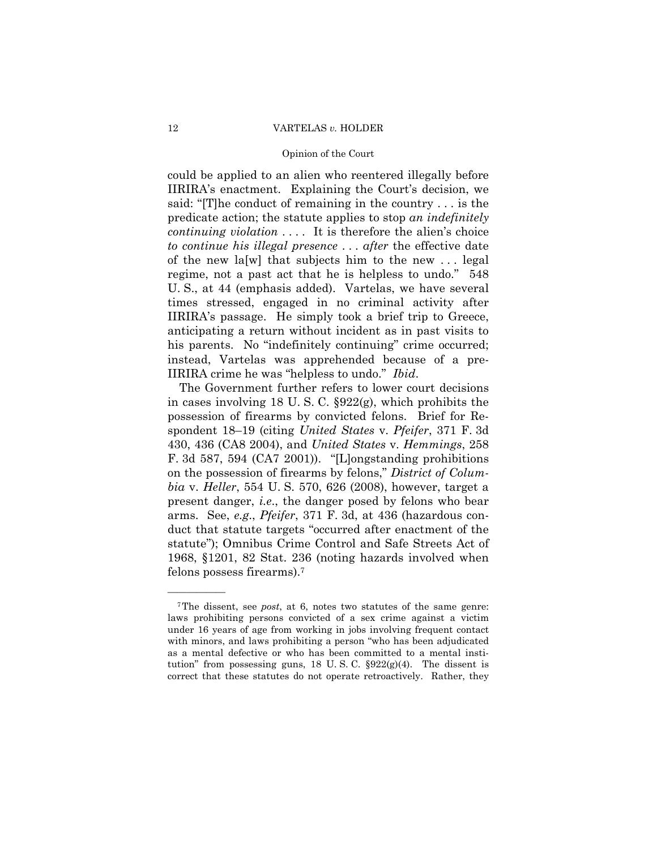#### 12 VARTELAS *v.* HOLDER

#### Opinion of the Court

could be applied to an alien who reentered illegally before IIRIRA's enactment. Explaining the Court's decision, we said: "[T]he conduct of remaining in the country . . . is the predicate action; the statute applies to stop *an indefinitely continuing violation* .... It is therefore the alien's choice *to continue his illegal presence* . . . *after* the effective date of the new la[w] that subjects him to the new . . . legal regime, not a past act that he is helpless to undo." 548 U. S., at 44 (emphasis added). Vartelas, we have several times stressed, engaged in no criminal activity after IIRIRA's passage. He simply took a brief trip to Greece, anticipating a return without incident as in past visits to his parents. No "indefinitely continuing" crime occurred; instead, Vartelas was apprehended because of a pre-IIRIRA crime he was "helpless to undo." *Ibid*.

The Government further refers to lower court decisions in cases involving 18 U. S. C. §922(g), which prohibits the possession of firearms by convicted felons. Brief for Respondent 18–19 (citing *United States* v. *Pfeifer*, 371 F. 3d 430, 436 (CA8 2004), and *United States* v. *Hemmings*, 258 F. 3d 587, 594 (CA7 2001)). "[L]ongstanding prohibitions on the possession of firearms by felons," *District of Columbia* v. *Heller*, 554 U. S. 570, 626 (2008), however, target a present danger, *i.e*., the danger posed by felons who bear arms. See, *e.g*., *Pfeifer*, 371 F. 3d, at 436 (hazardous conduct that statute targets "occurred after enactment of the statute"); Omnibus Crime Control and Safe Streets Act of 1968, §1201, 82 Stat. 236 (noting hazards involved when felons possess firearms).7

<sup>7</sup>The dissent, see *post*, at 6, notes two statutes of the same genre: laws prohibiting persons convicted of a sex crime against a victim under 16 years of age from working in jobs involving frequent contact with minors, and laws prohibiting a person "who has been adjudicated as a mental defective or who has been committed to a mental institution" from possessing guns, 18 U.S.C.  $\S 922(g)(4)$ . The dissent is correct that these statutes do not operate retroactively. Rather, they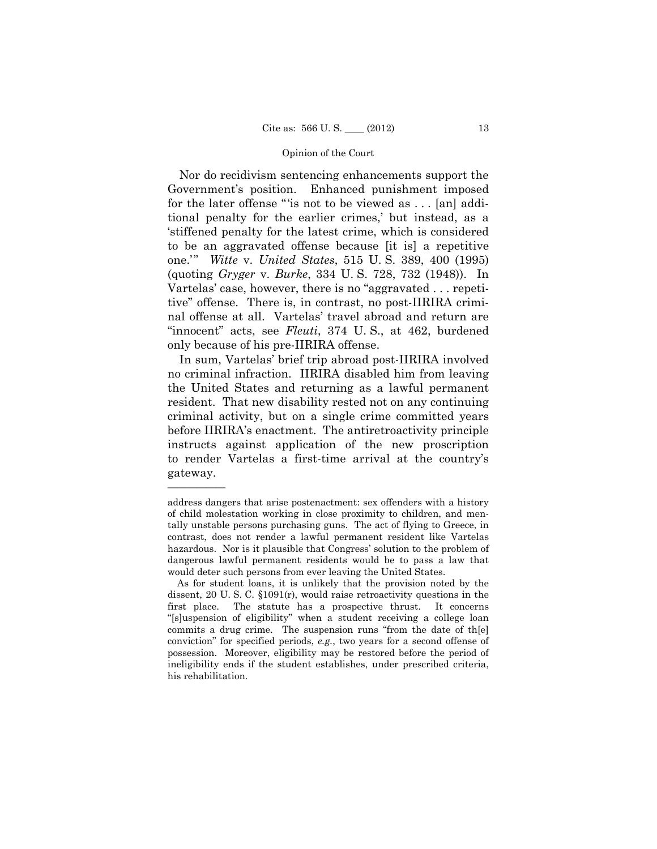Nor do recidivism sentencing enhancements support the Government's position. Enhanced punishment imposed for the later offense "'is not to be viewed as . . . [an] additional penalty for the earlier crimes,' but instead, as a 'stiffened penalty for the latest crime, which is considered to be an aggravated offense because [it is] a repetitive one.'" *Witte* v. *United States*, 515 U. S. 389, 400 (1995) (quoting *Gryger* v. *Burke*, 334 U. S. 728, 732 (1948)). In Vartelas' case, however, there is no "aggravated . . . repetitive" offense. There is, in contrast, no post-IIRIRA criminal offense at all. Vartelas' travel abroad and return are "innocent" acts, see *Fleuti*, 374 U. S., at 462, burdened only because of his pre-IIRIRA offense.

In sum, Vartelas' brief trip abroad post-IIRIRA involved no criminal infraction. IIRIRA disabled him from leaving the United States and returning as a lawful permanent resident. That new disability rested not on any continuing criminal activity, but on a single crime committed years before IIRIRA's enactment. The antiretroactivity principle instructs against application of the new proscription to render Vartelas a first-time arrival at the country's gateway.

address dangers that arise postenactment: sex offenders with a history of child molestation working in close proximity to children, and mentally unstable persons purchasing guns. The act of flying to Greece, in contrast, does not render a lawful permanent resident like Vartelas hazardous. Nor is it plausible that Congress' solution to the problem of dangerous lawful permanent residents would be to pass a law that would deter such persons from ever leaving the United States.

As for student loans, it is unlikely that the provision noted by the dissent, 20 U. S. C. §1091(r), would raise retroactivity questions in the first place. The statute has a prospective thrust. It concerns "[s]uspension of eligibility" when a student receiving a college loan commits a drug crime. The suspension runs "from the date of th[e] conviction" for specified periods, *e.g.*, two years for a second offense of possession. Moreover, eligibility may be restored before the period of ineligibility ends if the student establishes, under prescribed criteria, his rehabilitation.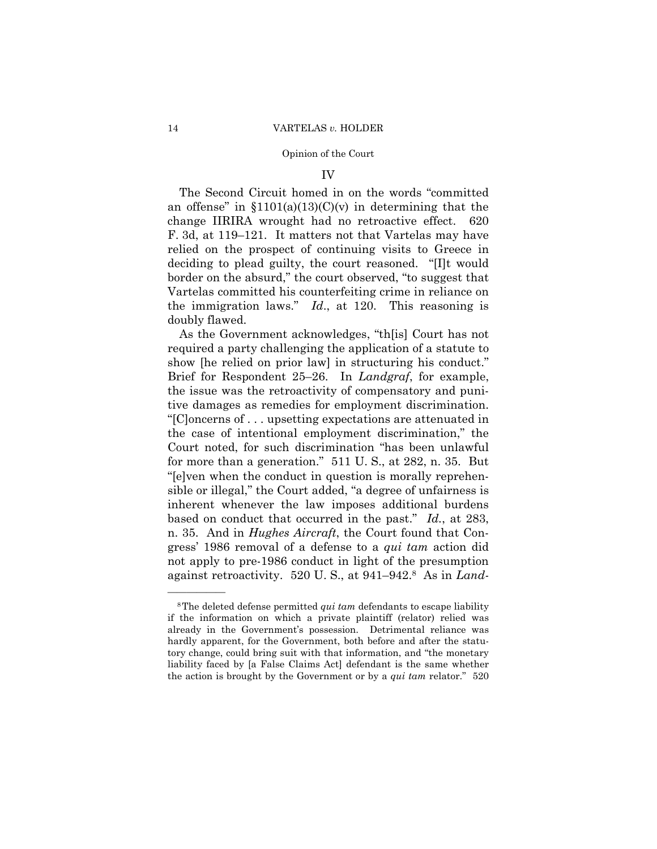## IV

The Second Circuit homed in on the words "committed an offense" in  $$1101(a)(13)(C)(v)$  in determining that the change IIRIRA wrought had no retroactive effect. 620 F. 3d, at 119–121. It matters not that Vartelas may have relied on the prospect of continuing visits to Greece in deciding to plead guilty, the court reasoned. "[I]t would border on the absurd," the court observed, "to suggest that Vartelas committed his counterfeiting crime in reliance on the immigration laws." *Id*., at 120. This reasoning is doubly flawed.

As the Government acknowledges, "th[is] Court has not required a party challenging the application of a statute to show [he relied on prior law] in structuring his conduct." Brief for Respondent 25–26. In *Landgraf*, for example, the issue was the retroactivity of compensatory and punitive damages as remedies for employment discrimination. "[C]oncerns of . . . upsetting expectations are attenuated in the case of intentional employment discrimination," the Court noted, for such discrimination "has been unlawful for more than a generation." 511 U. S., at 282, n. 35. But "[e]ven when the conduct in question is morally reprehensible or illegal," the Court added, "a degree of unfairness is inherent whenever the law imposes additional burdens based on conduct that occurred in the past." *Id.*, at 283, n. 35. And in *Hughes Aircraft*, the Court found that Congress' 1986 removal of a defense to a *qui tam* action did not apply to pre-1986 conduct in light of the presumption against retroactivity. 520 U. S., at 941–942.8 As in *Land-*

 the action is brought by the Government or by a *qui tam* relator." 520 8The deleted defense permitted *qui tam* defendants to escape liability if the information on which a private plaintiff (relator) relied was already in the Government's possession. Detrimental reliance was hardly apparent, for the Government, both before and after the statutory change, could bring suit with that information, and "the monetary liability faced by [a False Claims Act] defendant is the same whether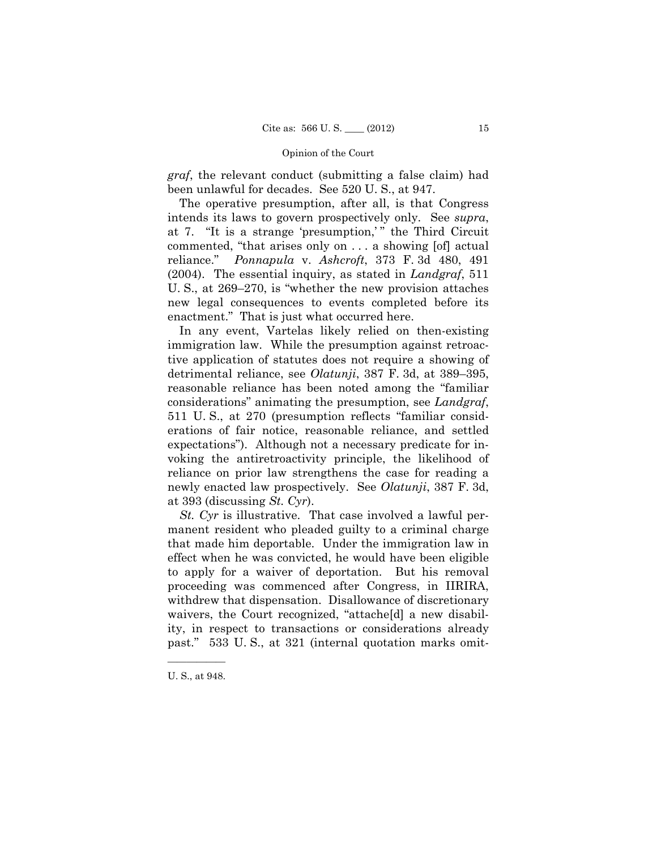*graf*, the relevant conduct (submitting a false claim) had been unlawful for decades. See 520 U. S., at 947.

The operative presumption, after all, is that Congress intends its laws to govern prospectively only. See *supra*, at 7. "It is a strange 'presumption,' " the Third Circuit commented, "that arises only on . . . a showing [of] actual reliance." *Ponnapula* v. *Ashcroft*, 373 F. 3d 480, 491 (2004). The essential inquiry, as stated in *Landgraf*, 511 U. S., at 269–270, is "whether the new provision attaches new legal consequences to events completed before its enactment." That is just what occurred here.

In any event, Vartelas likely relied on then-existing immigration law. While the presumption against retroactive application of statutes does not require a showing of detrimental reliance, see *Olatunji*, 387 F. 3d, at 389–395, reasonable reliance has been noted among the "familiar considerations" animating the presumption, see *Landgraf*, 511 U. S., at 270 (presumption reflects "familiar considerations of fair notice, reasonable reliance, and settled expectations"). Although not a necessary predicate for invoking the antiretroactivity principle, the likelihood of reliance on prior law strengthens the case for reading a newly enacted law prospectively. See *Olatunji*, 387 F. 3d, at 393 (discussing *St. Cyr*).

*St. Cyr* is illustrative. That case involved a lawful permanent resident who pleaded guilty to a criminal charge that made him deportable. Under the immigration law in effect when he was convicted, he would have been eligible to apply for a waiver of deportation. But his removal proceeding was commenced after Congress, in IIRIRA, withdrew that dispensation. Disallowance of discretionary waivers, the Court recognized, "attache[d] a new disability, in respect to transactions or considerations already past." 533 U. S., at 321 (internal quotation marks omit-

<sup>——————</sup>  U. S., at 948.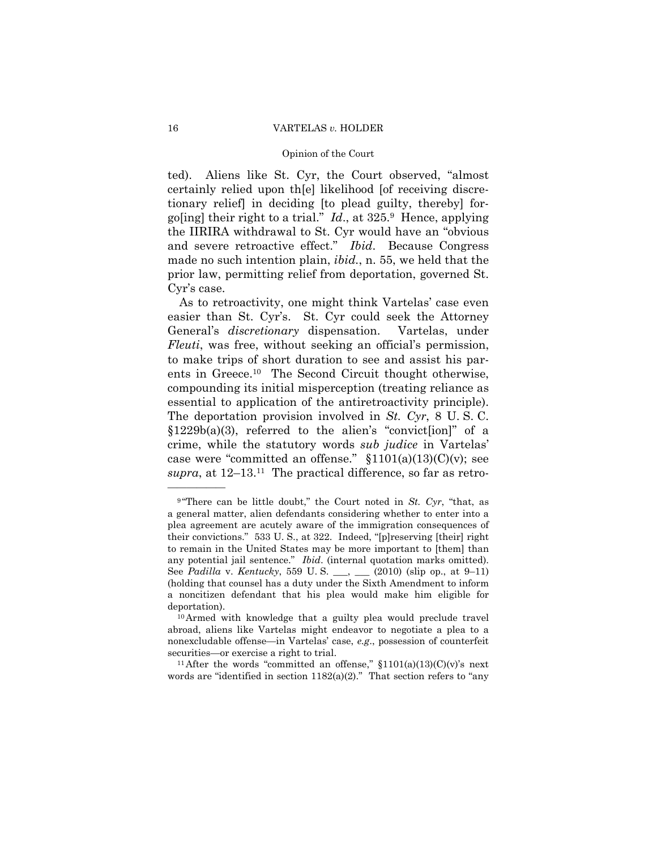### 16 VARTELAS *v.* HOLDER

#### Opinion of the Court

ted). Aliens like St. Cyr, the Court observed, "almost certainly relied upon th[e] likelihood [of receiving discretionary relief] in deciding [to plead guilty, thereby] forgo[ing] their right to a trial." *Id*., at 325.9 Hence, applying the IIRIRA withdrawal to St. Cyr would have an "obvious and severe retroactive effect." *Ibid*. Because Congress made no such intention plain, *ibid.*, n. 55, we held that the prior law, permitting relief from deportation, governed St. Cyr's case.

As to retroactivity, one might think Vartelas' case even easier than St. Cyr's. St. Cyr could seek the Attorney General's *discretionary* dispensation. Vartelas, under *Fleuti*, was free, without seeking an official's permission, to make trips of short duration to see and assist his parents in Greece.10 The Second Circuit thought otherwise, compounding its initial misperception (treating reliance as essential to application of the antiretroactivity principle). The deportation provision involved in *St. Cyr*, 8 U. S. C. §1229b(a)(3), referred to the alien's "convict[ion]" of a crime, while the statutory words *sub judice* in Vartelas' case were "committed an offense."  $$1101(a)(13)(C)(v)$ ; see *supra*, at 12–13.11 The practical difference, so far as retro-

words are "identified in section  $1182(a)(2)$ ." That section refers to "any

 any potential jail sentence." *Ibid*. (internal quotation marks omitted). <sup>9</sup> "There can be little doubt," the Court noted in *St. Cyr*, "that, as a general matter, alien defendants considering whether to enter into a plea agreement are acutely aware of the immigration consequences of their convictions." 533 U. S., at 322. Indeed, "[p]reserving [their] right to remain in the United States may be more important to [them] than See *Padilla* v. *Kentucky*, 559 U.S. \_\_, \_\_ (2010) (slip op., at 9-11) (holding that counsel has a duty under the Sixth Amendment to inform a noncitizen defendant that his plea would make him eligible for deportation).  $10\text{Armed}$  with knowledge that a guilty plea would preclude travel

abroad, aliens like Vartelas might endeavor to negotiate a plea to a nonexcludable offense—in Vartelas' case, *e.g*., possession of counterfeit securities—or exercise a right to trial.<br><sup>11</sup>After the words "committed an offense," §1101(a)(13)(C)(v)'s next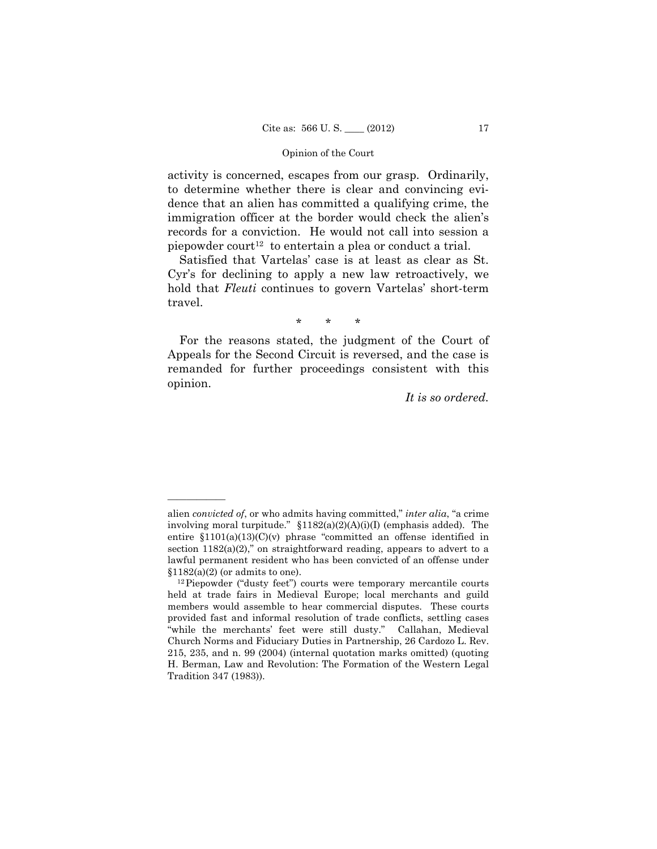activity is concerned, escapes from our grasp. Ordinarily, to determine whether there is clear and convincing evidence that an alien has committed a qualifying crime, the immigration officer at the border would check the alien's records for a conviction. He would not call into session a piepowder court<sup>12</sup> to entertain a plea or conduct a trial.

Satisfied that Vartelas' case is at least as clear as St. Cyr's for declining to apply a new law retroactively, we hold that *Fleuti* continues to govern Vartelas' short-term travel.

\* \* \*

For the reasons stated, the judgment of the Court of Appeals for the Second Circuit is reversed, and the case is remanded for further proceedings consistent with this opinion.

*It is so ordered.* 

alien *convicted of*, or who admits having committed," *inter alia*, "a crime involving moral turpitude." §1182(a)(2)(A)(i)(I) (emphasis added). The entire §1101(a)(13)(C)(v) phrase "committed an offense identified in section  $1182(a)(2)$ ," on straightforward reading, appears to advert to a lawful permanent resident who has been convicted of an offense under  $$1182(a)(2)$  (or admits to one).<br><sup>12</sup>Piepowder ("dusty feet") courts were temporary mercantile courts

held at trade fairs in Medieval Europe; local merchants and guild members would assemble to hear commercial disputes. These courts provided fast and informal resolution of trade conflicts, settling cases "while the merchants' feet were still dusty." Callahan, Medieval Church Norms and Fiduciary Duties in Partnership, 26 Cardozo L. Rev. 215, 235, and n. 99 (2004) (internal quotation marks omitted) (quoting H. Berman, Law and Revolution: The Formation of the Western Legal Tradition 347 (1983)).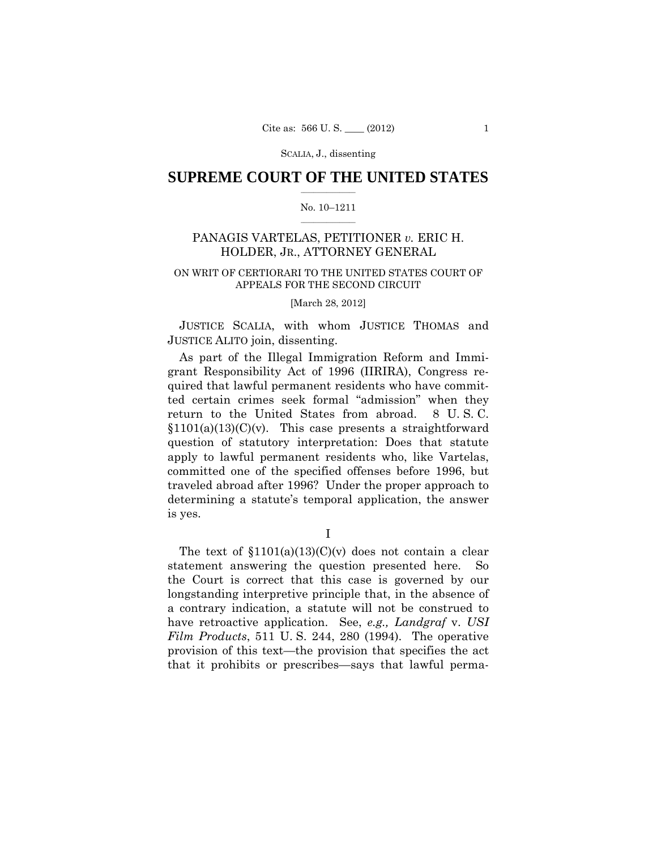# $\frac{1}{2}$  ,  $\frac{1}{2}$  ,  $\frac{1}{2}$  ,  $\frac{1}{2}$  ,  $\frac{1}{2}$  ,  $\frac{1}{2}$  ,  $\frac{1}{2}$ **SUPREME COURT OF THE UNITED STATES**

#### $\frac{1}{2}$  ,  $\frac{1}{2}$  ,  $\frac{1}{2}$  ,  $\frac{1}{2}$  ,  $\frac{1}{2}$  ,  $\frac{1}{2}$ No. 10–1211

# PANAGIS VARTELAS, PETITIONER *v.* ERIC H. HOLDER, JR., ATTORNEY GENERAL

# ON WRIT OF CERTIORARI TO THE UNITED STATES COURT OF APPEALS FOR THE SECOND CIRCUIT

### [March 28, 2012]

 JUSTICE SCALIA, with whom JUSTICE THOMAS and JUSTICE ALITO join, dissenting.

As part of the Illegal Immigration Reform and Immigrant Responsibility Act of 1996 (IIRIRA), Congress required that lawful permanent residents who have committed certain crimes seek formal "admission" when they return to the United States from abroad. 8 U. S. C.  $$1101(a)(13)(C)(v)$ . This case presents a straightforward question of statutory interpretation: Does that statute apply to lawful permanent residents who, like Vartelas, committed one of the specified offenses before 1996, but traveled abroad after 1996? Under the proper approach to determining a statute's temporal application, the answer is yes.

I

The text of  $$1101(a)(13)(C)(v)$  does not contain a clear statement answering the question presented here. So the Court is correct that this case is governed by our longstanding interpretive principle that, in the absence of a contrary indication, a statute will not be construed to have retroactive application. See, *e.g., Landgraf* v. *USI Film Products*, 511 U. S. 244, 280 (1994). The operative provision of this text—the provision that specifies the act that it prohibits or prescribes—says that lawful perma-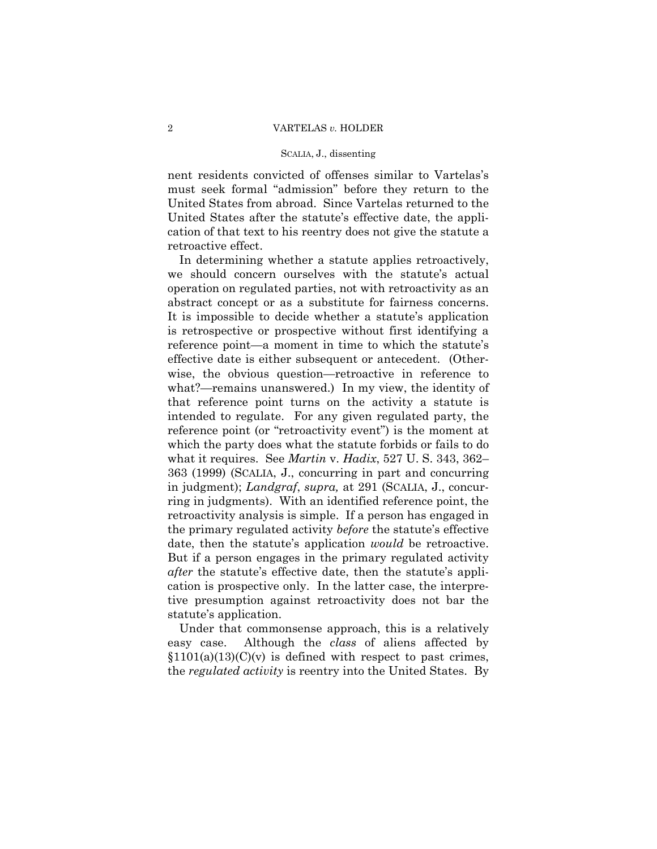nent residents convicted of offenses similar to Vartelas's must seek formal "admission" before they return to the United States from abroad. Since Vartelas returned to the United States after the statute's effective date, the application of that text to his reentry does not give the statute a retroactive effect.

 date, then the statute's application *would* be retroactive. But if a person engages in the primary regulated activity In determining whether a statute applies retroactively, we should concern ourselves with the statute's actual operation on regulated parties, not with retroactivity as an abstract concept or as a substitute for fairness concerns. It is impossible to decide whether a statute's application is retrospective or prospective without first identifying a reference point—a moment in time to which the statute's effective date is either subsequent or antecedent. (Otherwise, the obvious question—retroactive in reference to what?—remains unanswered.) In my view, the identity of that reference point turns on the activity a statute is intended to regulate. For any given regulated party, the reference point (or "retroactivity event") is the moment at which the party does what the statute forbids or fails to do what it requires. See *Martin* v. *Hadix*, 527 U. S. 343, 362– 363 (1999) (SCALIA, J., concurring in part and concurring in judgment); *Landgraf*, *supra,* at 291 (SCALIA, J., concurring in judgments). With an identified reference point, the retroactivity analysis is simple. If a person has engaged in the primary regulated activity *before* the statute's effective *after* the statute's effective date, then the statute's application is prospective only. In the latter case, the interpretive presumption against retroactivity does not bar the statute's application.

Under that commonsense approach, this is a relatively easy case. Although the *class* of aliens affected by  $$1101(a)(13)(C)(v)$  is defined with respect to past crimes, the *regulated activity* is reentry into the United States. By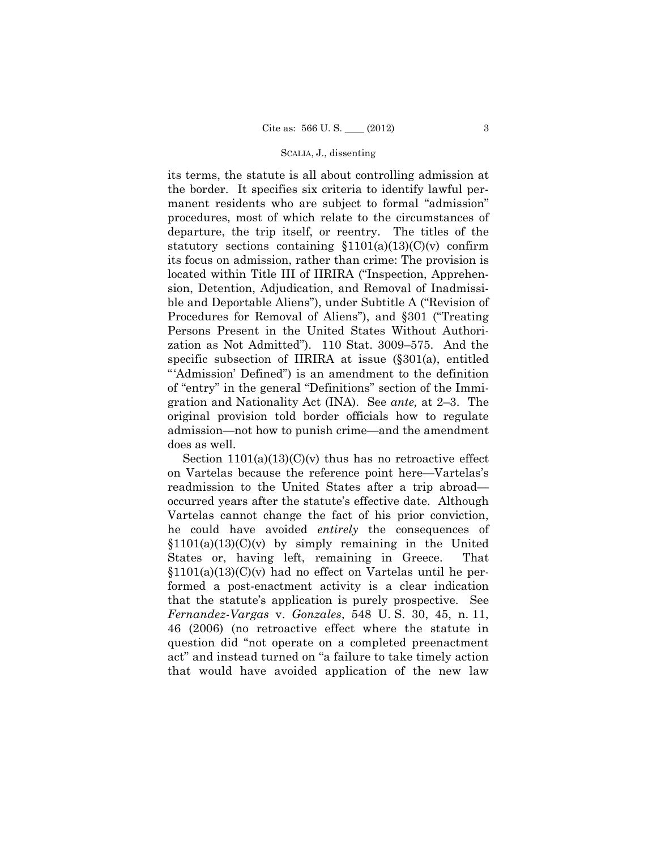its terms, the statute is all about controlling admission at the border. It specifies six criteria to identify lawful permanent residents who are subject to formal "admission" procedures, most of which relate to the circumstances of departure, the trip itself, or reentry. The titles of the statutory sections containing  $$1101(a)(13)(C)(v)$  confirm its focus on admission, rather than crime: The provision is located within Title III of IIRIRA ("Inspection, Apprehension, Detention, Adjudication, and Removal of Inadmissible and Deportable Aliens"), under Subtitle A ("Revision of Procedures for Removal of Aliens"), and §301 ("Treating Persons Present in the United States Without Authorization as Not Admitted"). 110 Stat. 3009–575. And the specific subsection of IIRIRA at issue (§301(a), entitled "'Admission' Defined") is an amendment to the definition of "entry" in the general "Definitions" section of the Immigration and Nationality Act (INA). See *ante,* at 2–3. The original provision told border officials how to regulate admission—not how to punish crime—and the amendment does as well.

Section  $1101(a)(13)(C)(v)$  thus has no retroactive effect on Vartelas because the reference point here—Vartelas's readmission to the United States after a trip abroad occurred years after the statute's effective date. Although Vartelas cannot change the fact of his prior conviction, he could have avoided *entirely* the consequences of  $$1101(a)(13)(C)(v)$  by simply remaining in the United States or, having left, remaining in Greece. That §1101(a)(13)(C)(v) had no effect on Vartelas until he performed a post-enactment activity is a clear indication that the statute's application is purely prospective. See *Fernandez-Vargas* v. *Gonzales*, 548 U. S. 30, 45, n. 11, 46 (2006) (no retroactive effect where the statute in question did "not operate on a completed preenactment act" and instead turned on "a failure to take timely action that would have avoided application of the new law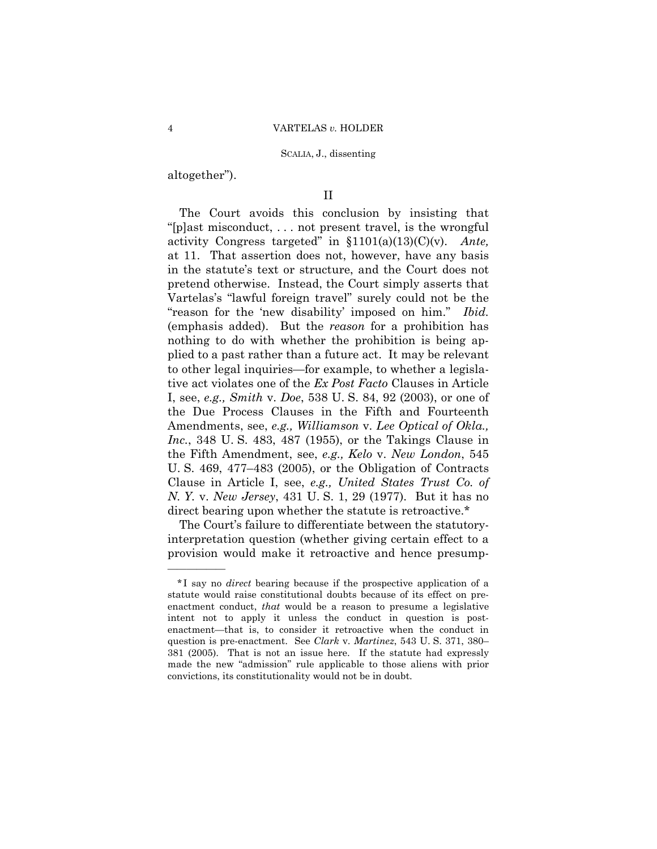altogether").

——————

# II

The Court avoids this conclusion by insisting that "[p]ast misconduct, . . . not present travel, is the wrongful activity Congress targeted" in §1101(a)(13)(C)(v). *Ante,*  at 11. That assertion does not, however, have any basis in the statute's text or structure, and the Court does not pretend otherwise. Instead, the Court simply asserts that Vartelas's "lawful foreign travel" surely could not be the "reason for the 'new disability' imposed on him." *Ibid.*  (emphasis added). But the *reason* for a prohibition has nothing to do with whether the prohibition is being applied to a past rather than a future act. It may be relevant to other legal inquiries—for example, to whether a legislative act violates one of the *Ex Post Facto* Clauses in Article I, see, *e.g., Smith* v. *Doe*, 538 U. S. 84, 92 (2003), or one of the Due Process Clauses in the Fifth and Fourteenth Amendments, see, *e.g., Williamson* v. *Lee Optical of Okla., Inc.*, 348 U. S. 483, 487 (1955), or the Takings Clause in the Fifth Amendment, see, *e.g., Kelo* v. *New London*, 545 U. S. 469, 477–483 (2005), or the Obligation of Contracts Clause in Article I, see, *e.g., United States Trust Co. of N. Y.* v. *New Jersey*, 431 U. S. 1, 29 (1977). But it has no direct bearing upon whether the statute is retroactive.\*

 The Court's failure to differentiate between the statutoryinterpretation question (whether giving certain effect to a provision would make it retroactive and hence presump-

<sup>\*</sup> I say no *direct* bearing because if the prospective application of a statute would raise constitutional doubts because of its effect on preenactment conduct, *that* would be a reason to presume a legislative intent not to apply it unless the conduct in question is postenactment—that is, to consider it retroactive when the conduct in question is pre-enactment. See *Clark* v. *Martinez*, 543 U. S. 371, 380– 381 (2005). That is not an issue here. If the statute had expressly made the new "admission" rule applicable to those aliens with prior convictions, its constitutionality would not be in doubt.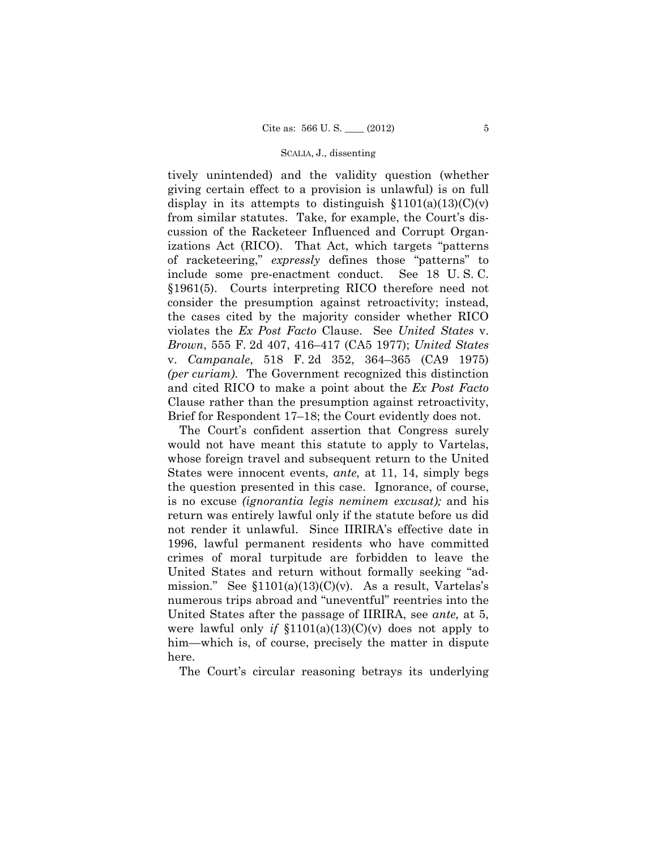tively unintended) and the validity question (whether giving certain effect to a provision is unlawful) is on full display in its attempts to distinguish  $$1101(a)(13)(C)(v)$ from similar statutes. Take, for example, the Court's discussion of the Racketeer Influenced and Corrupt Organizations Act (RICO). That Act, which targets "patterns of racketeering," *expressly* defines those "patterns" to include some pre-enactment conduct. See 18 U. S. C. §1961(5). Courts interpreting RICO therefore need not consider the presumption against retroactivity; instead, the cases cited by the majority consider whether RICO violates the *Ex Post Facto* Clause. See *United States* v. *Brown*, 555 F. 2d 407, 416–417 (CA5 1977); *United States*  v. *Campanale*, 518 F. 2d 352, 364–365 (CA9 1975) *(per curiam)*. The Government recognized this distinction and cited RICO to make a point about the *Ex Post Facto*  Clause rather than the presumption against retroactivity, Brief for Respondent 17–18; the Court evidently does not.

The Court's confident assertion that Congress surely would not have meant this statute to apply to Vartelas, whose foreign travel and subsequent return to the United States were innocent events, *ante,* at 11, 14, simply begs the question presented in this case. Ignorance, of course, is no excuse *(ignorantia legis neminem excusat);* and his return was entirely lawful only if the statute before us did not render it unlawful. Since IIRIRA's effective date in 1996, lawful permanent residents who have committed crimes of moral turpitude are forbidden to leave the United States and return without formally seeking "admission." See  $$1101(a)(13)(C)(v)$ . As a result, Vartelas's numerous trips abroad and "uneventful" reentries into the United States after the passage of IIRIRA, see *ante,* at 5, were lawful only *if* §1101(a)(13)(C)(v) does not apply to him—which is, of course, precisely the matter in dispute here.

The Court's circular reasoning betrays its underlying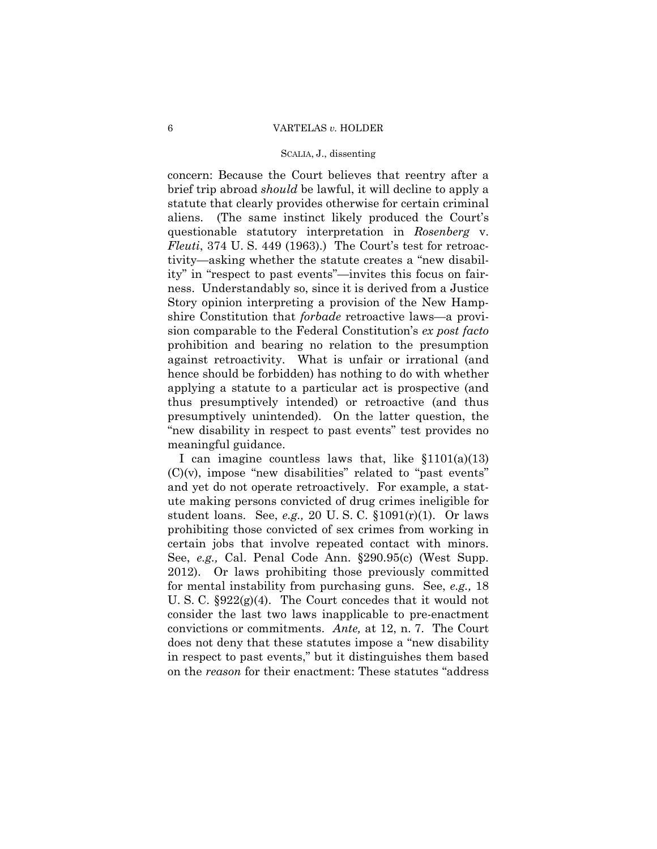concern: Because the Court believes that reentry after a brief trip abroad *should* be lawful, it will decline to apply a statute that clearly provides otherwise for certain criminal aliens. (The same instinct likely produced the Court's questionable statutory interpretation in *Rosenberg* v. *Fleuti*, 374 U. S. 449 (1963).) The Court's test for retroactivity—asking whether the statute creates a "new disability" in "respect to past events"—invites this focus on fairness. Understandably so, since it is derived from a Justice Story opinion interpreting a provision of the New Hampshire Constitution that *forbade* retroactive laws—a provision comparable to the Federal Constitution's *ex post facto* prohibition and bearing no relation to the presumption against retroactivity. What is unfair or irrational (and hence should be forbidden) has nothing to do with whether applying a statute to a particular act is prospective (and thus presumptively intended) or retroactive (and thus presumptively unintended). On the latter question, the "new disability in respect to past events" test provides no meaningful guidance.

 certain jobs that involve repeated contact with minors. I can imagine countless laws that, like  $$1101(a)(13)$  $(C)(v)$ , impose "new disabilities" related to "past events" and yet do not operate retroactively. For example, a statute making persons convicted of drug crimes ineligible for student loans. See, *e.g.,* 20 U. S. C. §1091(r)(1). Or laws prohibiting those convicted of sex crimes from working in See, *e.g.,* Cal. Penal Code Ann. §290.95(c) (West Supp. 2012). Or laws prohibiting those previously committed for mental instability from purchasing guns. See, *e.g.,* 18 U. S. C. §922(g)(4). The Court concedes that it would not consider the last two laws inapplicable to pre-enactment convictions or commitments. *Ante,* at 12, n. 7. The Court does not deny that these statutes impose a "new disability in respect to past events," but it distinguishes them based on the *reason* for their enactment: These statutes "address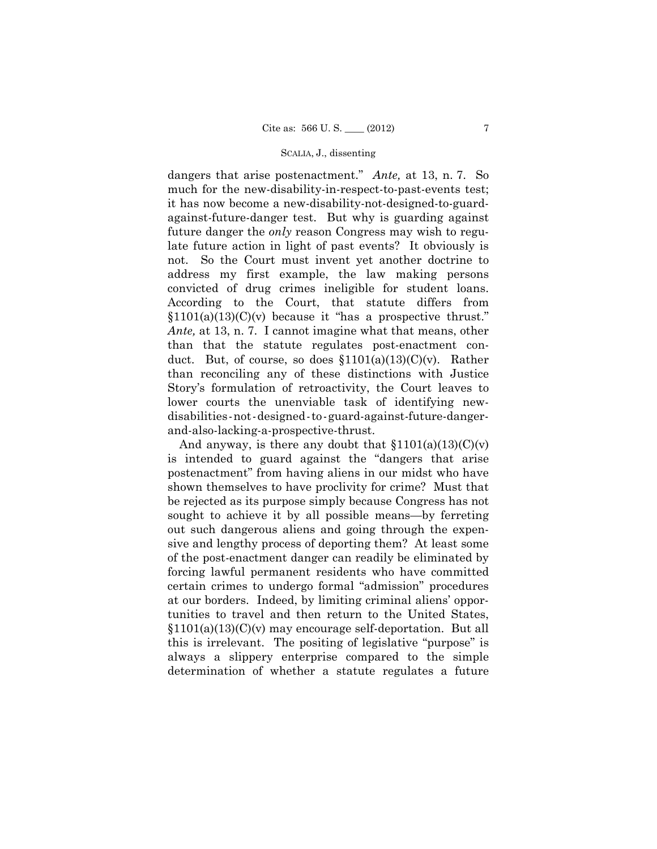dangers that arise postenactment." *Ante,* at 13, n. 7. So much for the new-disability-in-respect-to-past-events test; it has now become a new-disability-not-designed-to-guardagainst-future-danger test. But why is guarding against future danger the *only* reason Congress may wish to regulate future action in light of past events? It obviously is not. So the Court must invent yet another doctrine to address my first example, the law making persons convicted of drug crimes ineligible for student loans. According to the Court, that statute differs from  $$1101(a)(13)(C)(v)$  because it "has a prospective thrust." *Ante,* at 13, n. 7. I cannot imagine what that means, other than that the statute regulates post-enactment conduct. But, of course, so does  $$1101(a)(13)(C)(v)$ . Rather than reconciling any of these distinctions with Justice Story's formulation of retroactivity, the Court leaves to lower courts the unenviable task of identifying newdisabilities-not-designed-to-guard-against-future-dangerand-also-lacking-a-prospective-thrust.

And anyway, is there any doubt that  $$1101(a)(13)(C)(v)$ is intended to guard against the "dangers that arise postenactment" from having aliens in our midst who have shown themselves to have proclivity for crime? Must that be rejected as its purpose simply because Congress has not sought to achieve it by all possible means—by ferreting out such dangerous aliens and going through the expensive and lengthy process of deporting them? At least some of the post-enactment danger can readily be eliminated by forcing lawful permanent residents who have committed certain crimes to undergo formal "admission" procedures at our borders. Indeed, by limiting criminal aliens' opportunities to travel and then return to the United States, §1101(a)(13)(C)(v) may encourage self-deportation. But all this is irrelevant. The positing of legislative "purpose" is always a slippery enterprise compared to the simple determination of whether a statute regulates a future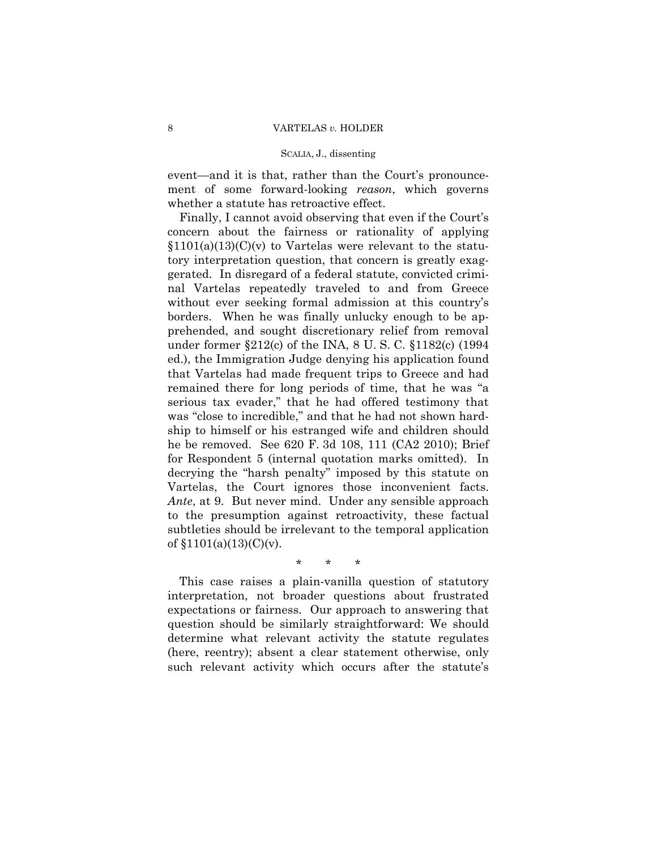event—and it is that, rather than the Court's pronouncement of some forward-looking *reason*, which governs whether a statute has retroactive effect.

 *Ante*, at 9. But never mind. Under any sensible approach Finally, I cannot avoid observing that even if the Court's concern about the fairness or rationality of applying  $$1101(a)(13)(C)(v)$  to Vartelas were relevant to the statutory interpretation question, that concern is greatly exaggerated. In disregard of a federal statute, convicted criminal Vartelas repeatedly traveled to and from Greece without ever seeking formal admission at this country's borders. When he was finally unlucky enough to be apprehended, and sought discretionary relief from removal under former §212(c) of the INA, 8 U. S. C. §1182(c) (1994 ed.), the Immigration Judge denying his application found that Vartelas had made frequent trips to Greece and had remained there for long periods of time, that he was "a serious tax evader," that he had offered testimony that was "close to incredible," and that he had not shown hardship to himself or his estranged wife and children should he be removed. See 620 F. 3d 108, 111 (CA2 2010); Brief for Respondent 5 (internal quotation marks omitted). In decrying the "harsh penalty" imposed by this statute on Vartelas, the Court ignores those inconvenient facts. to the presumption against retroactivity, these factual subtleties should be irrelevant to the temporal application of  $$1101(a)(13)(C)(v)$ .

# \* \* \*

This case raises a plain-vanilla question of statutory interpretation, not broader questions about frustrated expectations or fairness. Our approach to answering that question should be similarly straightforward: We should determine what relevant activity the statute regulates (here, reentry); absent a clear statement otherwise, only such relevant activity which occurs after the statute's